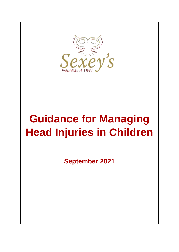

# **Guidance for Managing Head Injuries in Children**

**September 2021**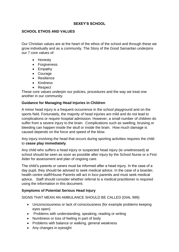### **SEXEY'S SCHOOL**

### **SCHOOL ETHOS AND VALUES**

Our Christian values are at the heart of the ethos of the school and through these we grow individually and as a community. The Story of the Good Samaritan underpins our 7 core values of:

- Honesty
- Forgiveness
- Empathy
- Courage
- **•** Resilience
- Kindness
- Respect

These core values underpin our policies, procedures and the way we treat one another in our community.

### **Guidance for Managing Head Injuries in Children**

A minor head injury is a frequent occurrence in the school playground and on the sports field. Fortunately, the majority of head injuries are mild and do not lead to complications or require hospital admission. However, a small number of children do suffer from a severe injury to the brain. Complications such as swelling, bruising or bleeding can happen inside the skull or inside the brain. How much damage is caused depends on the force and speed of the blow.

Any injury involving the head that occurs during sporting activities requires the child to **cease play immediately**.

Any child who suffers a head injury or suspected head injury (ie unwitnessed) at school should be seen as soon as possible after injury by the School Nurse or a First Aider for assessment and plan of ongoing care.

The child's parents or carers must be informed after a head injury. In the case of a day pupil, they should be advised to seek medical advice. In the case of a boarder, health centre staff/House Parents will act in loco parentis and must seek medical advice. Staff should consider whether referral to a medical practitioner is required using the information in this document.

### **Symptoms of Potential Serious Head Injury**

SIGNS THAT MEAN AN AMBULANCE SHOULD BE CALLED (DIAL 999)

- Unconsciousness or lack of consciousness (for example problems keeping eyes open)
- Problems with understanding, speaking, reading or writing
- Numbness or loss of feeling in part of body
- Problems with balance or walking, general weakness
- Any changes in eyesight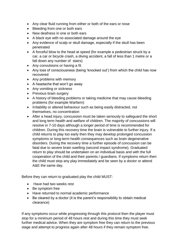- Any clear fluid running from either or both of the ears or nose
- Bleeding from one or both ears
- New deafness in one or both ears
- A black eye with no associated damage around the eye
- Any evidence of scalp or skull damage, especially if the skull has been penetrated
- A forceful blow to the head at speed (for example a pedestrian struck by a car, a car or bicycle crash, a diving accident, a fall of less than 1 metre or a fall down any number of stairs)
- Any convulsions or having a fit
- Any loss of consciousness (being 'knocked out') from which the child has now recovered
- Any problems with memory
- A headache that won't go away
- Any vomiting or sickness
- Previous brain surgery
- A history of bleeding problems or taking medicine that may cause bleeding problems (for example Warfarin)
- Irritability or altered behaviour such as being easily distracted, not themselves, no concentration
- After a head injury, concussion must be taken seriously to safeguard the short and long term health and welfare of children. The majority of concussions will resolve in 7-10 days although a longer period of time is recommended for children. During this recovery time the brain is vulnerable to further injury. If a child returns to play too early then they may develop prolonged concussion symptoms or long-term health consequences such as brain degenerative disorders. During the recovery time a further episode of concussion can be fatal due to severe brain swelling (second impact syndrome). Graduated return to play should be undertaken on an individual basis and with the full cooperation of the child and their parents / guardians. If symptoms return then the child must stop any play immediately and be seen by a doctor or attend A&E the same day.

Before they can return to graduated play the child MUST:

- Have had two weeks rest
- Be symptom free
- Have returned to normal academic performance
- Be cleared by a doctor (it is the parent's responsibility to obtain medical clearance)

If any symptoms occur while progressing through this protocol then the player must stop for a minimum period of 48 hours rest and during this time they must seek further medical advice. When they are symptom free they can return to the previous stage and attempt to progress again after 48 hours if they remain symptom free.